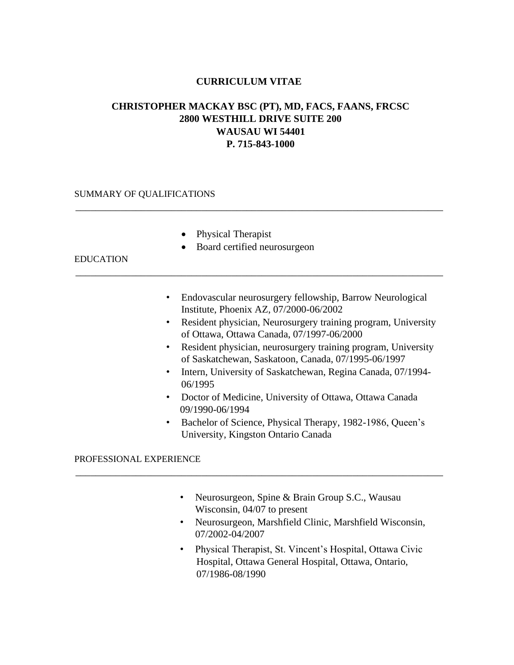# **CURRICULUM VITAE**

# **CHRISTOPHER MACKAY BSC (PT), MD, FACS, FAANS, FRCSC 2800 WESTHILL DRIVE SUITE 200 WAUSAU WI 54401 P. 715-843-1000**

\_\_\_\_\_\_\_\_\_\_\_\_\_\_\_\_\_\_\_\_\_\_\_\_\_\_\_\_\_\_\_\_\_\_\_\_\_\_\_\_\_\_\_\_\_\_\_\_\_\_\_\_\_\_\_\_\_\_\_\_\_\_\_\_\_\_\_\_\_\_\_\_\_

\_\_\_\_\_\_\_\_\_\_\_\_\_\_\_\_\_\_\_\_\_\_\_\_\_\_\_\_\_\_\_\_\_\_\_\_\_\_\_\_\_\_\_\_\_\_\_\_\_\_\_\_\_\_\_\_\_\_\_\_\_\_\_\_\_\_\_\_\_\_\_\_\_

### SUMMARY OF QUALIFICATIONS

- Physical Therapist
- Board certified neurosurgeon

#### EDUCATION

- Endovascular neurosurgery fellowship, Barrow Neurological Institute, Phoenix AZ, 07/2000-06/2002
- Resident physician, Neurosurgery training program, University of Ottawa, Ottawa Canada, 07/1997-06/2000
- Resident physician, neurosurgery training program, University of Saskatchewan, Saskatoon, Canada, 07/1995-06/1997
- Intern, University of Saskatchewan, Regina Canada, 07/1994- 06/1995
- Doctor of Medicine, University of Ottawa, Ottawa Canada 09/1990-06/1994
- Bachelor of Science, Physical Therapy, 1982-1986, Queen's University, Kingston Ontario Canada

#### PROFESSIONAL EXPERIENCE

• Neurosurgeon, Spine & Brain Group S.C., Wausau Wisconsin, 04/07 to present

\_\_\_\_\_\_\_\_\_\_\_\_\_\_\_\_\_\_\_\_\_\_\_\_\_\_\_\_\_\_\_\_\_\_\_\_\_\_\_\_\_\_\_\_\_\_\_\_\_\_\_\_\_\_\_\_\_\_\_\_\_\_\_\_\_\_\_\_\_\_\_\_\_

- Neurosurgeon, Marshfield Clinic, Marshfield Wisconsin, 07/2002-04/2007
- Physical Therapist, St. Vincent's Hospital, Ottawa Civic Hospital, Ottawa General Hospital, Ottawa, Ontario, 07/1986-08/1990